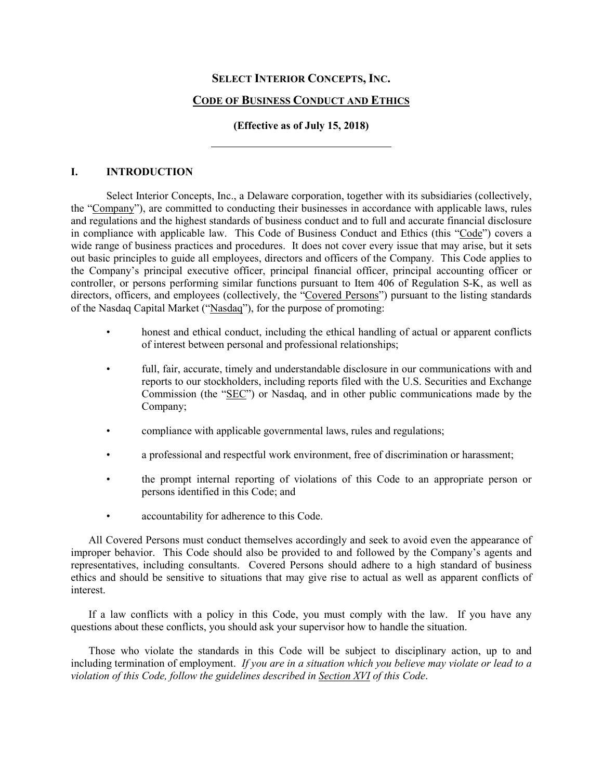# **SELECT INTERIOR CONCEPTS, INC.**

# **CODE OF BUSINESS CONDUCT AND ETHICS**

# **(Effective as of July 15, 2018)**

## **I. INTRODUCTION**

Select Interior Concepts, Inc., a Delaware corporation, together with its subsidiaries (collectively, the "Company"), are committed to conducting their businesses in accordance with applicable laws, rules and regulations and the highest standards of business conduct and to full and accurate financial disclosure in compliance with applicable law. This Code of Business Conduct and Ethics (this "Code") covers a wide range of business practices and procedures. It does not cover every issue that may arise, but it sets out basic principles to guide all employees, directors and officers of the Company. This Code applies to the Company's principal executive officer, principal financial officer, principal accounting officer or controller, or persons performing similar functions pursuant to Item 406 of Regulation S-K, as well as directors, officers, and employees (collectively, the "Covered Persons") pursuant to the listing standards of the Nasdaq Capital Market ("Nasdaq"), for the purpose of promoting:

- honest and ethical conduct, including the ethical handling of actual or apparent conflicts of interest between personal and professional relationships;
- full, fair, accurate, timely and understandable disclosure in our communications with and reports to our stockholders, including reports filed with the U.S. Securities and Exchange Commission (the "SEC") or Nasdaq, and in other public communications made by the Company;
- compliance with applicable governmental laws, rules and regulations;
- a professional and respectful work environment, free of discrimination or harassment;
- the prompt internal reporting of violations of this Code to an appropriate person or persons identified in this Code; and
- accountability for adherence to this Code.

All Covered Persons must conduct themselves accordingly and seek to avoid even the appearance of improper behavior. This Code should also be provided to and followed by the Company's agents and representatives, including consultants. Covered Persons should adhere to a high standard of business ethics and should be sensitive to situations that may give rise to actual as well as apparent conflicts of interest.

If a law conflicts with a policy in this Code, you must comply with the law. If you have any questions about these conflicts, you should ask your supervisor how to handle the situation.

Those who violate the standards in this Code will be subject to disciplinary action, up to and including termination of employment. *If you are in a situation which you believe may violate or lead to a violation of this Code, follow the guidelines described in Section XVI of this Code*.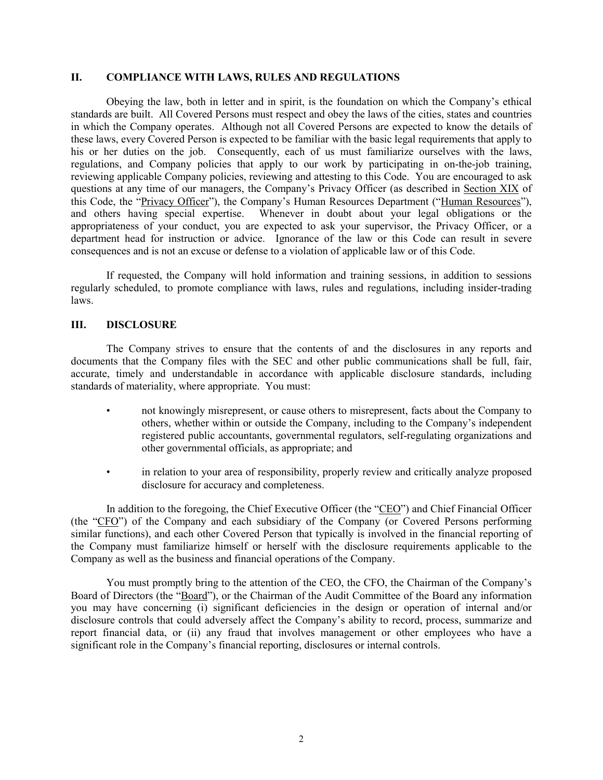## **II. COMPLIANCE WITH LAWS, RULES AND REGULATIONS**

Obeying the law, both in letter and in spirit, is the foundation on which the Company's ethical standards are built. All Covered Persons must respect and obey the laws of the cities, states and countries in which the Company operates. Although not all Covered Persons are expected to know the details of these laws, every Covered Person is expected to be familiar with the basic legal requirements that apply to his or her duties on the job. Consequently, each of us must familiarize ourselves with the laws, regulations, and Company policies that apply to our work by participating in on-the-job training, reviewing applicable Company policies, reviewing and attesting to this Code. You are encouraged to ask questions at any time of our managers, the Company's Privacy Officer (as described in Section XIX of this Code, the "Privacy Officer"), the Company's Human Resources Department ("Human Resources"), and others having special expertise. Whenever in doubt about your legal obligations or the appropriateness of your conduct, you are expected to ask your supervisor, the Privacy Officer, or a department head for instruction or advice. Ignorance of the law or this Code can result in severe consequences and is not an excuse or defense to a violation of applicable law or of this Code.

If requested, the Company will hold information and training sessions, in addition to sessions regularly scheduled, to promote compliance with laws, rules and regulations, including insider-trading laws.

# **III. DISCLOSURE**

The Company strives to ensure that the contents of and the disclosures in any reports and documents that the Company files with the SEC and other public communications shall be full, fair, accurate, timely and understandable in accordance with applicable disclosure standards, including standards of materiality, where appropriate. You must:

- not knowingly misrepresent, or cause others to misrepresent, facts about the Company to others, whether within or outside the Company, including to the Company's independent registered public accountants, governmental regulators, self-regulating organizations and other governmental officials, as appropriate; and
- in relation to your area of responsibility, properly review and critically analyze proposed disclosure for accuracy and completeness.

In addition to the foregoing, the Chief Executive Officer (the "CEO") and Chief Financial Officer (the "CFO") of the Company and each subsidiary of the Company (or Covered Persons performing similar functions), and each other Covered Person that typically is involved in the financial reporting of the Company must familiarize himself or herself with the disclosure requirements applicable to the Company as well as the business and financial operations of the Company.

You must promptly bring to the attention of the CEO, the CFO, the Chairman of the Company's Board of Directors (the "Board"), or the Chairman of the Audit Committee of the Board any information you may have concerning (i) significant deficiencies in the design or operation of internal and/or disclosure controls that could adversely affect the Company's ability to record, process, summarize and report financial data, or (ii) any fraud that involves management or other employees who have a significant role in the Company's financial reporting, disclosures or internal controls.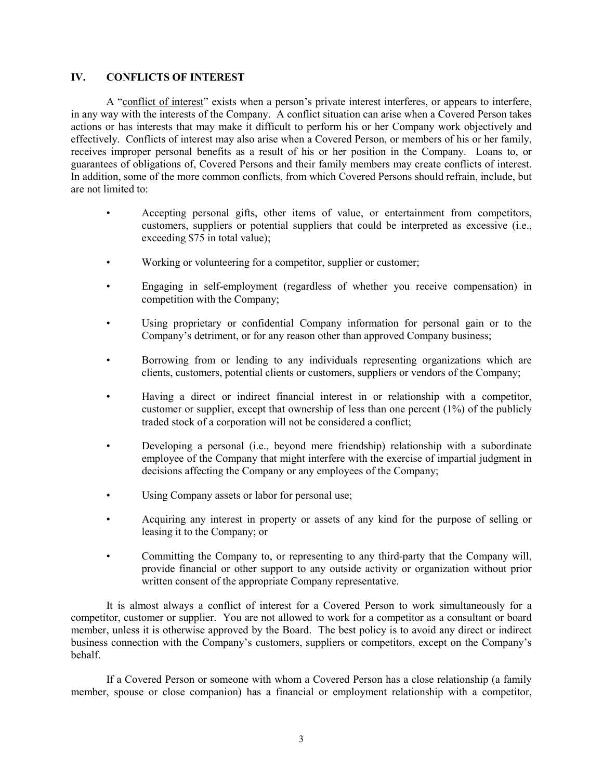# **IV. CONFLICTS OF INTEREST**

A "conflict of interest" exists when a person's private interest interferes, or appears to interfere, in any way with the interests of the Company. A conflict situation can arise when a Covered Person takes actions or has interests that may make it difficult to perform his or her Company work objectively and effectively. Conflicts of interest may also arise when a Covered Person, or members of his or her family, receives improper personal benefits as a result of his or her position in the Company. Loans to, or guarantees of obligations of, Covered Persons and their family members may create conflicts of interest. In addition, some of the more common conflicts, from which Covered Persons should refrain, include, but are not limited to:

- Accepting personal gifts, other items of value, or entertainment from competitors, customers, suppliers or potential suppliers that could be interpreted as excessive (i.e., exceeding \$75 in total value);
- Working or volunteering for a competitor, supplier or customer;
- Engaging in self-employment (regardless of whether you receive compensation) in competition with the Company;
- Using proprietary or confidential Company information for personal gain or to the Company's detriment, or for any reason other than approved Company business;
- Borrowing from or lending to any individuals representing organizations which are clients, customers, potential clients or customers, suppliers or vendors of the Company;
- Having a direct or indirect financial interest in or relationship with a competitor, customer or supplier, except that ownership of less than one percent  $(1%)$  of the publicly traded stock of a corporation will not be considered a conflict;
- Developing a personal (i.e., beyond mere friendship) relationship with a subordinate employee of the Company that might interfere with the exercise of impartial judgment in decisions affecting the Company or any employees of the Company;
- Using Company assets or labor for personal use;
- Acquiring any interest in property or assets of any kind for the purpose of selling or leasing it to the Company; or
- Committing the Company to, or representing to any third-party that the Company will, provide financial or other support to any outside activity or organization without prior written consent of the appropriate Company representative.

It is almost always a conflict of interest for a Covered Person to work simultaneously for a competitor, customer or supplier. You are not allowed to work for a competitor as a consultant or board member, unless it is otherwise approved by the Board. The best policy is to avoid any direct or indirect business connection with the Company's customers, suppliers or competitors, except on the Company's behalf.

If a Covered Person or someone with whom a Covered Person has a close relationship (a family member, spouse or close companion) has a financial or employment relationship with a competitor,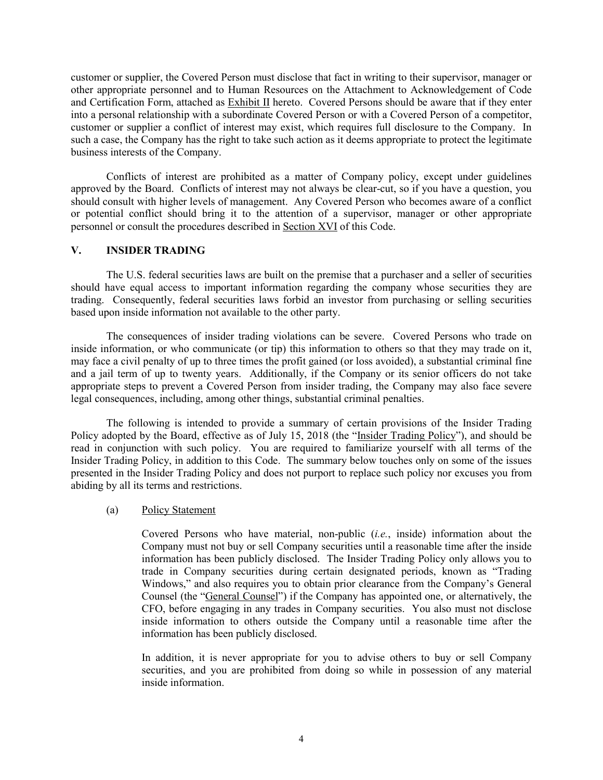customer or supplier, the Covered Person must disclose that fact in writing to their supervisor, manager or other appropriate personnel and to Human Resources on the Attachment to Acknowledgement of Code and Certification Form, attached as Exhibit II hereto. Covered Persons should be aware that if they enter into a personal relationship with a subordinate Covered Person or with a Covered Person of a competitor, customer or supplier a conflict of interest may exist, which requires full disclosure to the Company. In such a case, the Company has the right to take such action as it deems appropriate to protect the legitimate business interests of the Company.

Conflicts of interest are prohibited as a matter of Company policy, except under guidelines approved by the Board. Conflicts of interest may not always be clear-cut, so if you have a question, you should consult with higher levels of management. Any Covered Person who becomes aware of a conflict or potential conflict should bring it to the attention of a supervisor, manager or other appropriate personnel or consult the procedures described in Section XVI of this Code.

### **V. INSIDER TRADING**

The U.S. federal securities laws are built on the premise that a purchaser and a seller of securities should have equal access to important information regarding the company whose securities they are trading. Consequently, federal securities laws forbid an investor from purchasing or selling securities based upon inside information not available to the other party.

The consequences of insider trading violations can be severe. Covered Persons who trade on inside information, or who communicate (or tip) this information to others so that they may trade on it, may face a civil penalty of up to three times the profit gained (or loss avoided), a substantial criminal fine and a jail term of up to twenty years. Additionally, if the Company or its senior officers do not take appropriate steps to prevent a Covered Person from insider trading, the Company may also face severe legal consequences, including, among other things, substantial criminal penalties.

The following is intended to provide a summary of certain provisions of the Insider Trading Policy adopted by the Board, effective as of July 15, 2018 (the "Insider Trading Policy"), and should be read in conjunction with such policy. You are required to familiarize yourself with all terms of the Insider Trading Policy, in addition to this Code. The summary below touches only on some of the issues presented in the Insider Trading Policy and does not purport to replace such policy nor excuses you from abiding by all its terms and restrictions.

### (a) Policy Statement

Covered Persons who have material, non-public (*i.e.*, inside) information about the Company must not buy or sell Company securities until a reasonable time after the inside information has been publicly disclosed. The Insider Trading Policy only allows you to trade in Company securities during certain designated periods, known as "Trading Windows," and also requires you to obtain prior clearance from the Company's General Counsel (the "General Counsel") if the Company has appointed one, or alternatively, the CFO, before engaging in any trades in Company securities. You also must not disclose inside information to others outside the Company until a reasonable time after the information has been publicly disclosed.

In addition, it is never appropriate for you to advise others to buy or sell Company securities, and you are prohibited from doing so while in possession of any material inside information.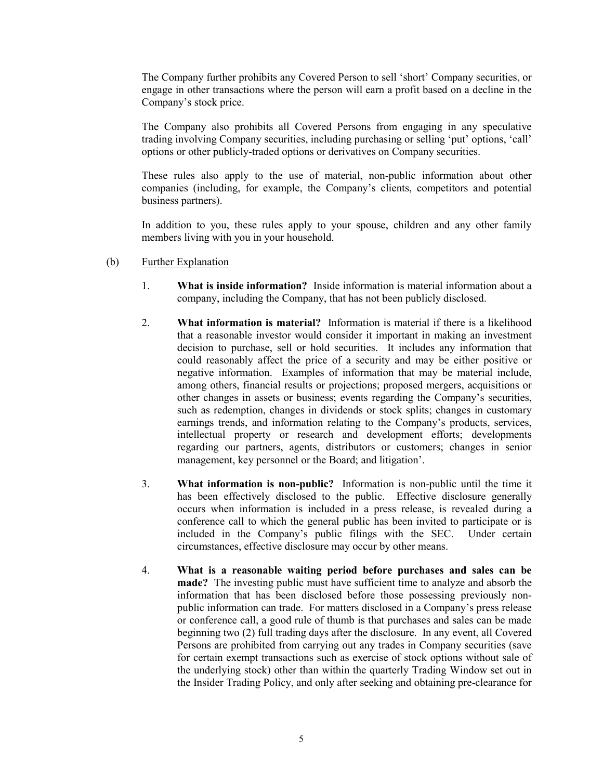The Company further prohibits any Covered Person to sell 'short' Company securities, or engage in other transactions where the person will earn a profit based on a decline in the Company's stock price.

The Company also prohibits all Covered Persons from engaging in any speculative trading involving Company securities, including purchasing or selling 'put' options, 'call' options or other publicly-traded options or derivatives on Company securities.

These rules also apply to the use of material, non-public information about other companies (including, for example, the Company's clients, competitors and potential business partners).

In addition to you, these rules apply to your spouse, children and any other family members living with you in your household.

- (b) Further Explanation
	- 1. **What is inside information?** Inside information is material information about a company, including the Company, that has not been publicly disclosed.
	- 2. **What information is material?** Information is material if there is a likelihood that a reasonable investor would consider it important in making an investment decision to purchase, sell or hold securities. It includes any information that could reasonably affect the price of a security and may be either positive or negative information. Examples of information that may be material include, among others, financial results or projections; proposed mergers, acquisitions or other changes in assets or business; events regarding the Company's securities, such as redemption, changes in dividends or stock splits; changes in customary earnings trends, and information relating to the Company's products, services, intellectual property or research and development efforts; developments regarding our partners, agents, distributors or customers; changes in senior management, key personnel or the Board; and litigation'.
	- 3. **What information is non-public?** Information is non-public until the time it has been effectively disclosed to the public. Effective disclosure generally occurs when information is included in a press release, is revealed during a conference call to which the general public has been invited to participate or is included in the Company's public filings with the SEC. Under certain circumstances, effective disclosure may occur by other means.
	- 4. **What is a reasonable waiting period before purchases and sales can be made?** The investing public must have sufficient time to analyze and absorb the information that has been disclosed before those possessing previously nonpublic information can trade. For matters disclosed in a Company's press release or conference call, a good rule of thumb is that purchases and sales can be made beginning two (2) full trading days after the disclosure. In any event, all Covered Persons are prohibited from carrying out any trades in Company securities (save for certain exempt transactions such as exercise of stock options without sale of the underlying stock) other than within the quarterly Trading Window set out in the Insider Trading Policy, and only after seeking and obtaining pre-clearance for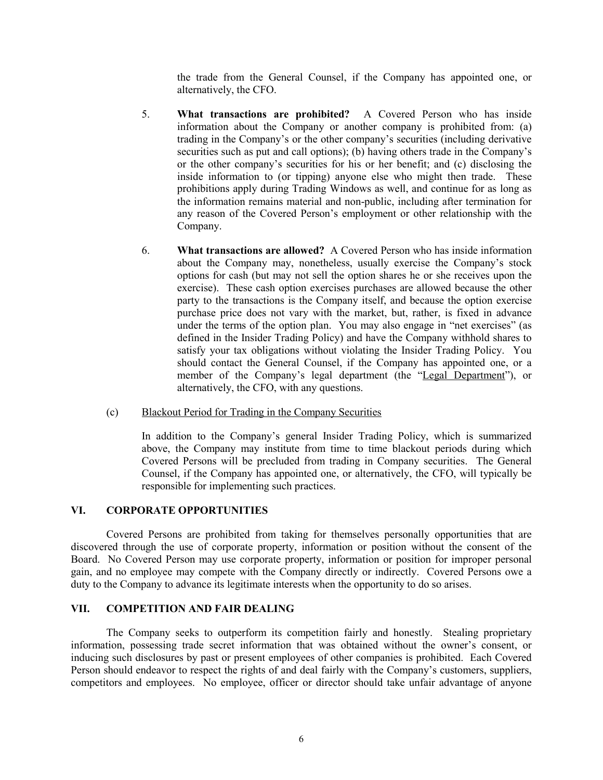the trade from the General Counsel, if the Company has appointed one, or alternatively, the CFO.

- 5. **What transactions are prohibited?** A Covered Person who has inside information about the Company or another company is prohibited from: (a) trading in the Company's or the other company's securities (including derivative securities such as put and call options); (b) having others trade in the Company's or the other company's securities for his or her benefit; and (c) disclosing the inside information to (or tipping) anyone else who might then trade. These prohibitions apply during Trading Windows as well, and continue for as long as the information remains material and non-public, including after termination for any reason of the Covered Person's employment or other relationship with the Company.
- 6. **What transactions are allowed?** A Covered Person who has inside information about the Company may, nonetheless, usually exercise the Company's stock options for cash (but may not sell the option shares he or she receives upon the exercise). These cash option exercises purchases are allowed because the other party to the transactions is the Company itself, and because the option exercise purchase price does not vary with the market, but, rather, is fixed in advance under the terms of the option plan. You may also engage in "net exercises" (as defined in the Insider Trading Policy) and have the Company withhold shares to satisfy your tax obligations without violating the Insider Trading Policy. You should contact the General Counsel, if the Company has appointed one, or a member of the Company's legal department (the "Legal Department"), or alternatively, the CFO, with any questions.
- (c) Blackout Period for Trading in the Company Securities

In addition to the Company's general Insider Trading Policy, which is summarized above, the Company may institute from time to time blackout periods during which Covered Persons will be precluded from trading in Company securities. The General Counsel, if the Company has appointed one, or alternatively, the CFO, will typically be responsible for implementing such practices.

## **VI. CORPORATE OPPORTUNITIES**

Covered Persons are prohibited from taking for themselves personally opportunities that are discovered through the use of corporate property, information or position without the consent of the Board. No Covered Person may use corporate property, information or position for improper personal gain, and no employee may compete with the Company directly or indirectly. Covered Persons owe a duty to the Company to advance its legitimate interests when the opportunity to do so arises.

# **VII. COMPETITION AND FAIR DEALING**

The Company seeks to outperform its competition fairly and honestly. Stealing proprietary information, possessing trade secret information that was obtained without the owner's consent, or inducing such disclosures by past or present employees of other companies is prohibited. Each Covered Person should endeavor to respect the rights of and deal fairly with the Company's customers, suppliers, competitors and employees. No employee, officer or director should take unfair advantage of anyone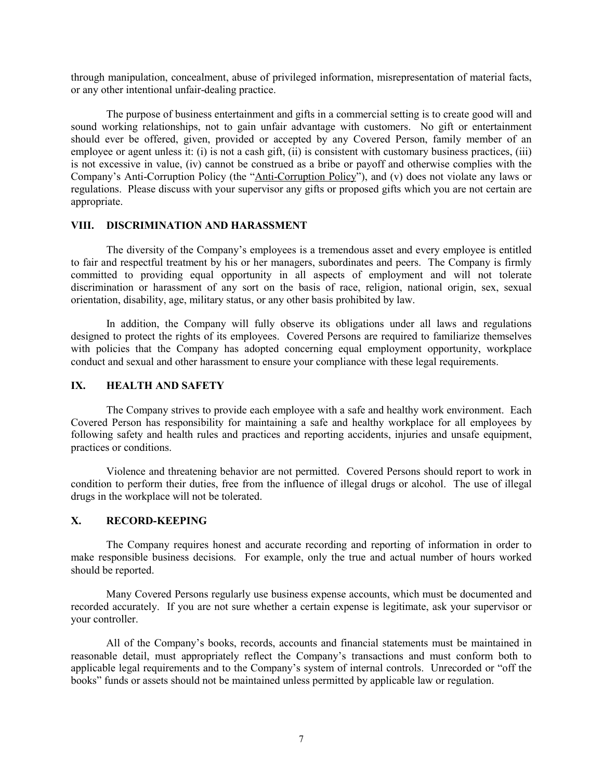through manipulation, concealment, abuse of privileged information, misrepresentation of material facts, or any other intentional unfair-dealing practice.

The purpose of business entertainment and gifts in a commercial setting is to create good will and sound working relationships, not to gain unfair advantage with customers. No gift or entertainment should ever be offered, given, provided or accepted by any Covered Person, family member of an employee or agent unless it: (i) is not a cash gift, (ii) is consistent with customary business practices, (iii) is not excessive in value, (iv) cannot be construed as a bribe or payoff and otherwise complies with the Company's Anti-Corruption Policy (the "Anti-Corruption Policy"), and (v) does not violate any laws or regulations. Please discuss with your supervisor any gifts or proposed gifts which you are not certain are appropriate.

## **VIII. DISCRIMINATION AND HARASSMENT**

The diversity of the Company's employees is a tremendous asset and every employee is entitled to fair and respectful treatment by his or her managers, subordinates and peers. The Company is firmly committed to providing equal opportunity in all aspects of employment and will not tolerate discrimination or harassment of any sort on the basis of race, religion, national origin, sex, sexual orientation, disability, age, military status, or any other basis prohibited by law.

In addition, the Company will fully observe its obligations under all laws and regulations designed to protect the rights of its employees. Covered Persons are required to familiarize themselves with policies that the Company has adopted concerning equal employment opportunity, workplace conduct and sexual and other harassment to ensure your compliance with these legal requirements.

# **IX. HEALTH AND SAFETY**

The Company strives to provide each employee with a safe and healthy work environment. Each Covered Person has responsibility for maintaining a safe and healthy workplace for all employees by following safety and health rules and practices and reporting accidents, injuries and unsafe equipment, practices or conditions.

Violence and threatening behavior are not permitted. Covered Persons should report to work in condition to perform their duties, free from the influence of illegal drugs or alcohol. The use of illegal drugs in the workplace will not be tolerated.

# **X. RECORD-KEEPING**

The Company requires honest and accurate recording and reporting of information in order to make responsible business decisions. For example, only the true and actual number of hours worked should be reported.

Many Covered Persons regularly use business expense accounts, which must be documented and recorded accurately. If you are not sure whether a certain expense is legitimate, ask your supervisor or your controller.

All of the Company's books, records, accounts and financial statements must be maintained in reasonable detail, must appropriately reflect the Company's transactions and must conform both to applicable legal requirements and to the Company's system of internal controls. Unrecorded or "off the books" funds or assets should not be maintained unless permitted by applicable law or regulation.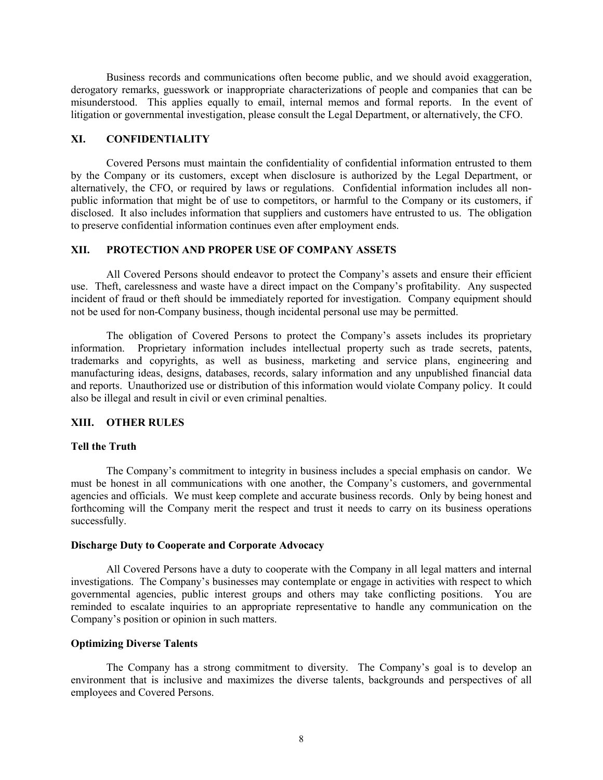Business records and communications often become public, and we should avoid exaggeration, derogatory remarks, guesswork or inappropriate characterizations of people and companies that can be misunderstood. This applies equally to email, internal memos and formal reports. In the event of litigation or governmental investigation, please consult the Legal Department, or alternatively, the CFO.

## **XI. CONFIDENTIALITY**

Covered Persons must maintain the confidentiality of confidential information entrusted to them by the Company or its customers, except when disclosure is authorized by the Legal Department, or alternatively, the CFO, or required by laws or regulations. Confidential information includes all nonpublic information that might be of use to competitors, or harmful to the Company or its customers, if disclosed. It also includes information that suppliers and customers have entrusted to us. The obligation to preserve confidential information continues even after employment ends.

## **XII. PROTECTION AND PROPER USE OF COMPANY ASSETS**

All Covered Persons should endeavor to protect the Company's assets and ensure their efficient use. Theft, carelessness and waste have a direct impact on the Company's profitability. Any suspected incident of fraud or theft should be immediately reported for investigation. Company equipment should not be used for non-Company business, though incidental personal use may be permitted.

The obligation of Covered Persons to protect the Company's assets includes its proprietary information. Proprietary information includes intellectual property such as trade secrets, patents, trademarks and copyrights, as well as business, marketing and service plans, engineering and manufacturing ideas, designs, databases, records, salary information and any unpublished financial data and reports. Unauthorized use or distribution of this information would violate Company policy. It could also be illegal and result in civil or even criminal penalties.

# **XIII. OTHER RULES**

#### **Tell the Truth**

The Company's commitment to integrity in business includes a special emphasis on candor. We must be honest in all communications with one another, the Company's customers, and governmental agencies and officials. We must keep complete and accurate business records. Only by being honest and forthcoming will the Company merit the respect and trust it needs to carry on its business operations successfully.

#### **Discharge Duty to Cooperate and Corporate Advocacy**

All Covered Persons have a duty to cooperate with the Company in all legal matters and internal investigations. The Company's businesses may contemplate or engage in activities with respect to which governmental agencies, public interest groups and others may take conflicting positions. You are reminded to escalate inquiries to an appropriate representative to handle any communication on the Company's position or opinion in such matters.

#### **Optimizing Diverse Talents**

The Company has a strong commitment to diversity. The Company's goal is to develop an environment that is inclusive and maximizes the diverse talents, backgrounds and perspectives of all employees and Covered Persons.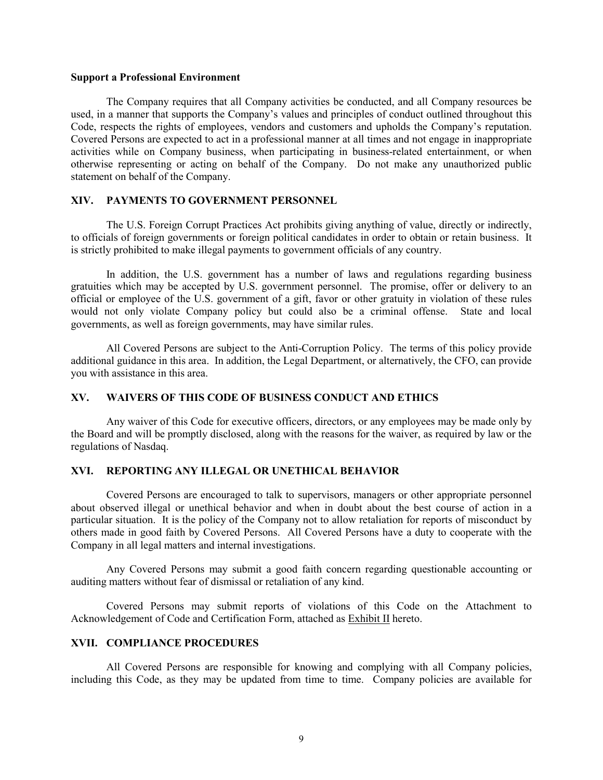#### **Support a Professional Environment**

The Company requires that all Company activities be conducted, and all Company resources be used, in a manner that supports the Company's values and principles of conduct outlined throughout this Code, respects the rights of employees, vendors and customers and upholds the Company's reputation. Covered Persons are expected to act in a professional manner at all times and not engage in inappropriate activities while on Company business, when participating in business-related entertainment, or when otherwise representing or acting on behalf of the Company. Do not make any unauthorized public statement on behalf of the Company.

# **XIV. PAYMENTS TO GOVERNMENT PERSONNEL**

The U.S. Foreign Corrupt Practices Act prohibits giving anything of value, directly or indirectly, to officials of foreign governments or foreign political candidates in order to obtain or retain business. It is strictly prohibited to make illegal payments to government officials of any country.

In addition, the U.S. government has a number of laws and regulations regarding business gratuities which may be accepted by U.S. government personnel. The promise, offer or delivery to an official or employee of the U.S. government of a gift, favor or other gratuity in violation of these rules would not only violate Company policy but could also be a criminal offense. State and local governments, as well as foreign governments, may have similar rules.

All Covered Persons are subject to the Anti-Corruption Policy. The terms of this policy provide additional guidance in this area. In addition, the Legal Department, or alternatively, the CFO, can provide you with assistance in this area.

# **XV. WAIVERS OF THIS CODE OF BUSINESS CONDUCT AND ETHICS**

Any waiver of this Code for executive officers, directors, or any employees may be made only by the Board and will be promptly disclosed, along with the reasons for the waiver, as required by law or the regulations of Nasdaq.

## **XVI. REPORTING ANY ILLEGAL OR UNETHICAL BEHAVIOR**

Covered Persons are encouraged to talk to supervisors, managers or other appropriate personnel about observed illegal or unethical behavior and when in doubt about the best course of action in a particular situation. It is the policy of the Company not to allow retaliation for reports of misconduct by others made in good faith by Covered Persons. All Covered Persons have a duty to cooperate with the Company in all legal matters and internal investigations.

Any Covered Persons may submit a good faith concern regarding questionable accounting or auditing matters without fear of dismissal or retaliation of any kind.

Covered Persons may submit reports of violations of this Code on the Attachment to Acknowledgement of Code and Certification Form, attached as Exhibit II hereto.

#### **XVII. COMPLIANCE PROCEDURES**

All Covered Persons are responsible for knowing and complying with all Company policies, including this Code, as they may be updated from time to time. Company policies are available for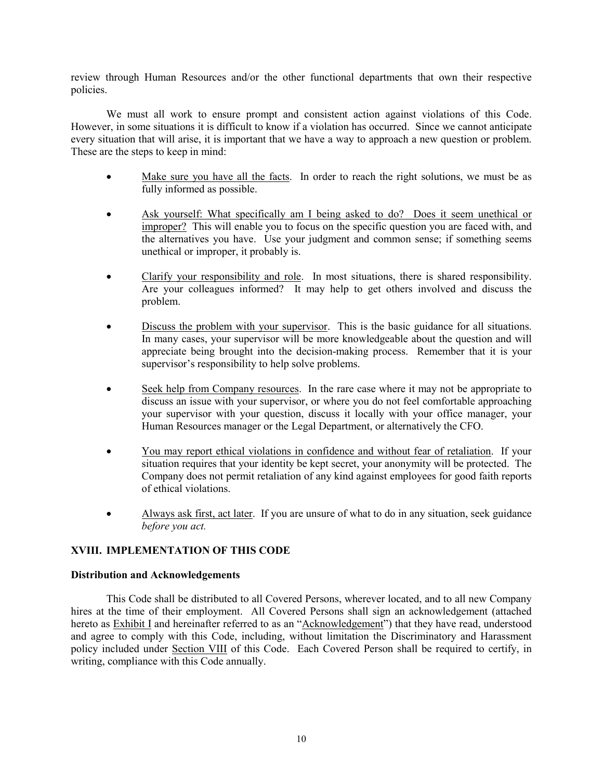review through Human Resources and/or the other functional departments that own their respective policies.

We must all work to ensure prompt and consistent action against violations of this Code. However, in some situations it is difficult to know if a violation has occurred. Since we cannot anticipate every situation that will arise, it is important that we have a way to approach a new question or problem. These are the steps to keep in mind:

- Make sure you have all the facts. In order to reach the right solutions, we must be as fully informed as possible.
- Ask yourself: What specifically am I being asked to do? Does it seem unethical or improper? This will enable you to focus on the specific question you are faced with, and the alternatives you have. Use your judgment and common sense; if something seems unethical or improper, it probably is.
- Clarify your responsibility and role. In most situations, there is shared responsibility. Are your colleagues informed? It may help to get others involved and discuss the problem.
- Discuss the problem with your supervisor. This is the basic guidance for all situations. In many cases, your supervisor will be more knowledgeable about the question and will appreciate being brought into the decision-making process. Remember that it is your supervisor's responsibility to help solve problems.
- Seek help from Company resources. In the rare case where it may not be appropriate to discuss an issue with your supervisor, or where you do not feel comfortable approaching your supervisor with your question, discuss it locally with your office manager, your Human Resources manager or the Legal Department, or alternatively the CFO.
- You may report ethical violations in confidence and without fear of retaliation. If your situation requires that your identity be kept secret, your anonymity will be protected. The Company does not permit retaliation of any kind against employees for good faith reports of ethical violations.
- Always ask first, act later. If you are unsure of what to do in any situation, seek guidance *before you act.*

# **XVIII. IMPLEMENTATION OF THIS CODE**

### **Distribution and Acknowledgements**

This Code shall be distributed to all Covered Persons, wherever located, and to all new Company hires at the time of their employment. All Covered Persons shall sign an acknowledgement (attached hereto as **Exhibit I** and hereinafter referred to as an "Acknowledgement") that they have read, understood and agree to comply with this Code, including, without limitation the Discriminatory and Harassment policy included under Section VIII of this Code. Each Covered Person shall be required to certify, in writing, compliance with this Code annually.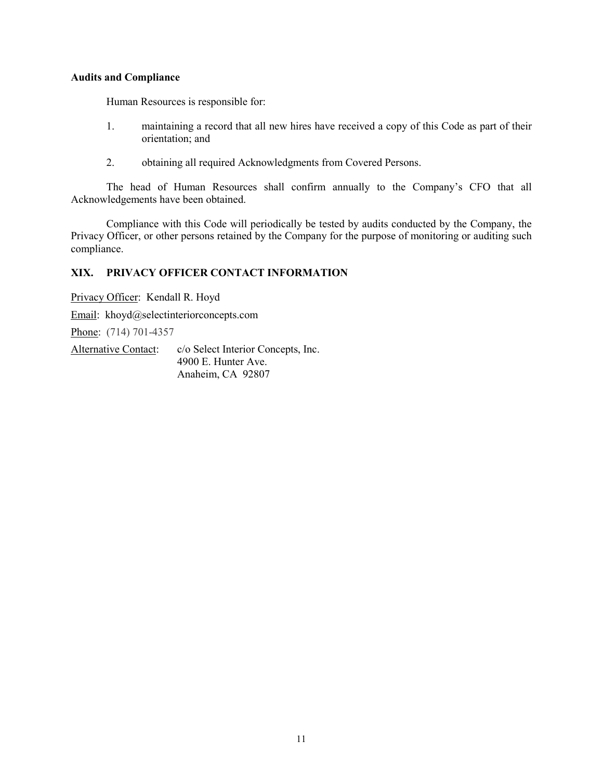# **Audits and Compliance**

Human Resources is responsible for:

- 1. maintaining a record that all new hires have received a copy of this Code as part of their orientation; and
- 2. obtaining all required Acknowledgments from Covered Persons.

The head of Human Resources shall confirm annually to the Company's CFO that all Acknowledgements have been obtained.

Compliance with this Code will periodically be tested by audits conducted by the Company, the Privacy Officer, or other persons retained by the Company for the purpose of monitoring or auditing such compliance.

# **XIX. PRIVACY OFFICER CONTACT INFORMATION**

Privacy Officer: Kendall R. Hoyd

Email: khoyd@selectinteriorconcepts.com

Phone: (714) 701-4357

Alternative Contact: c/o Select Interior Concepts, Inc. 4900 E. Hunter Ave. Anaheim, CA 92807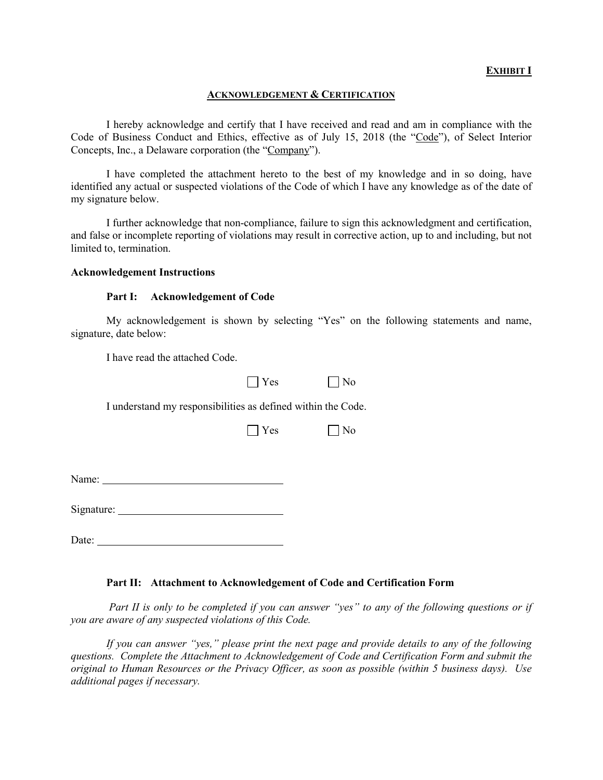# **EXHIBIT I**

### **ACKNOWLEDGEMENT & CERTIFICATION**

I hereby acknowledge and certify that I have received and read and am in compliance with the Code of Business Conduct and Ethics, effective as of July 15, 2018 (the "Code"), of Select Interior Concepts, Inc., a Delaware corporation (the "Company").

I have completed the attachment hereto to the best of my knowledge and in so doing, have identified any actual or suspected violations of the Code of which I have any knowledge as of the date of my signature below.

I further acknowledge that non-compliance, failure to sign this acknowledgment and certification, and false or incomplete reporting of violations may result in corrective action, up to and including, but not limited to, termination.

#### **Acknowledgement Instructions**

### **Part I: Acknowledgement of Code**

My acknowledgement is shown by selecting "Yes" on the following statements and name, signature, date below:

I have read the attached Code.

| $\Box$ Yes | $\vert$   No |
|------------|--------------|
|------------|--------------|

I understand my responsibilities as defined within the Code.

| Y<br>' es | No |
|-----------|----|
|-----------|----|

Name:

Signature:

Date:

### **Part II: Attachment to Acknowledgement of Code and Certification Form**

*Part II is only to be completed if you can answer "yes" to any of the following questions or if you are aware of any suspected violations of this Code.*

*If you can answer "yes," please print the next page and provide details to any of the following questions. Complete the Attachment to Acknowledgement of Code and Certification Form and submit the original to Human Resources or the Privacy Officer, as soon as possible (within 5 business days). Use additional pages if necessary.*